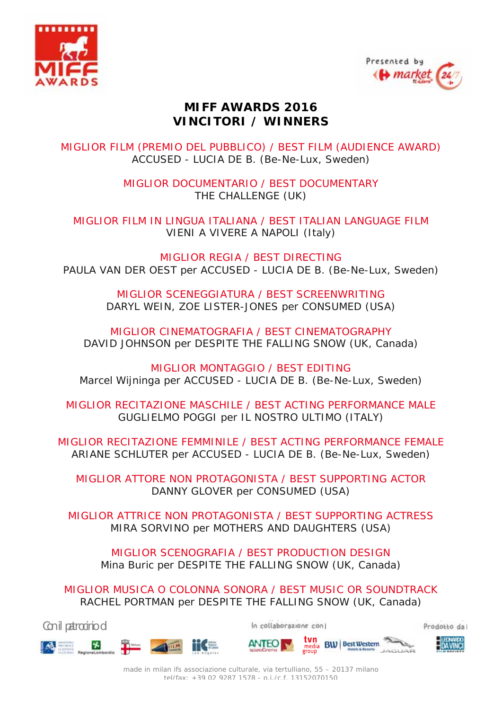



## **MIFF AWARDS 2016 VINCITORI / WINNERS**

MIGLIOR FILM (PREMIO DEL PUBBLICO) / BEST FILM (AUDIENCE AWARD) ACCUSED - LUCIA DE B. (Be-Ne-Lux, Sweden)

> MIGLIOR DOCUMENTARIO / BEST DOCUMENTARY THE CHALLENGE (UK)

MIGLIOR FILM IN LINGUA ITALIANA / BEST ITALIAN LANGUAGE FILM VIENI A VIVERE A NAPOLI (Italy)

MIGLIOR REGIA / BEST DIRECTING PAULA VAN DER OEST per ACCUSED - LUCIA DE B. (Be-Ne-Lux, Sweden)

> MIGLIOR SCENEGGIATURA / BEST SCREENWRITING DARYL WEIN, ZOE LISTER-JONES per CONSUMED (USA)

MIGLIOR CINEMATOGRAFIA / BEST CINEMATOGRAPHY DAVID JOHNSON per DESPITE THE FALLING SNOW (UK, Canada)

MIGLIOR MONTAGGIO / BEST EDITING Marcel Wijninga per ACCUSED - LUCIA DE B. (Be-Ne-Lux, Sweden)

MIGLIOR RECITAZIONE MASCHILE / BEST ACTING PERFORMANCE MALE GUGLIELMO POGGI per IL NOSTRO ULTIMO (ITALY)

MIGLIOR RECITAZIONE FEMMINILE / BEST ACTING PERFORMANCE FEMALE ARIANE SCHLUTER per ACCUSED - LUCIA DE B. (Be-Ne-Lux, Sweden)

MIGLIOR ATTORE NON PROTAGONISTA / BEST SUPPORTING ACTOR DANNY GLOVER per CONSUMED (USA)

MIGLIOR ATTRICE NON PROTAGONISTA / BEST SUPPORTING ACTRESS MIRA SORVINO per MOTHERS AND DAUGHTERS (USA)

MIGLIOR SCENOGRAFIA / BEST PRODUCTION DESIGN Mina Buric per DESPITE THE FALLING SNOW (UK, Canada)

MIGLIOR MUSICA O COLONNA SONORA / BEST MUSIC OR SOUNDTRACK RACHEL PORTMAN per DESPITE THE FALLING SNOW (UK, Canada)

Con il patrocinio di **Internationale con** la collaborazione con **Internationale Con** Prodotto da









made in milan ifs associazione culturale, via tertulliano, 55 – 20137 milano tel/fax: +39 02 9287 1578 - p.i./c.f. 13152070150